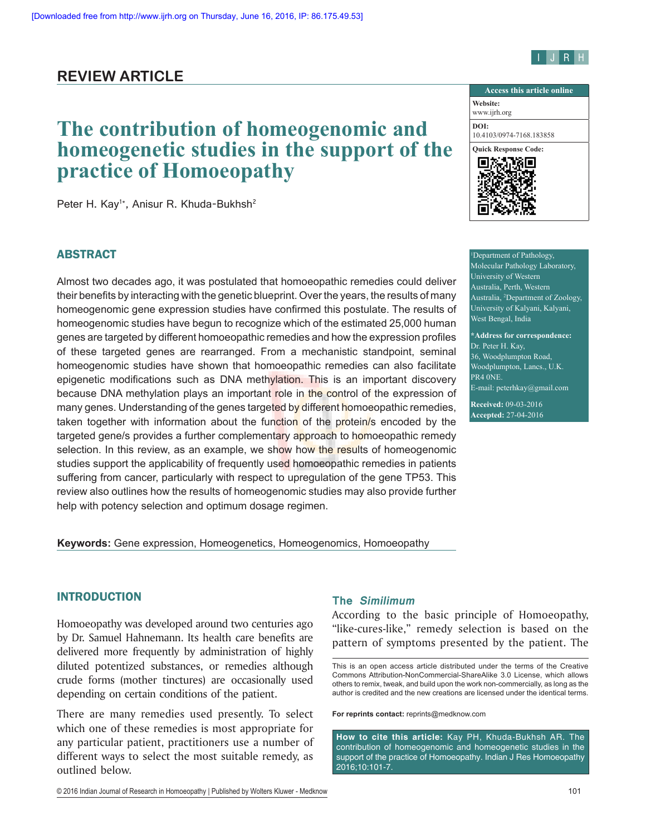# I J R H

# **REVIEW ARTICLE**

# **The contribution of homeogenomic and homeogenetic studies in the support of the practice of Homoeopathy**

Peter H. Kay<sup>1\*</sup>, Anisur R. Khuda-Bukhsh<sup>2</sup>

# ABSTRACT

Almost two decades ago, it was postulated that homoeopathic remedies could deliver their benefits by interacting with the genetic blueprint. Over the years, the results of many homeogenomic gene expression studies have confirmed this postulate. The results of homeogenomic studies have begun to recognize which of the estimated 25,000 human genes are targeted by different homoeopathic remedies and how the expression profiles of these targeted genes are rearranged. From a mechanistic standpoint, seminal homeogenomic studies have shown that homoeopathic remedies can also facilitate epigenetic modifications such as DNA methylation. This is an important discovery because DNA methylation plays an important role in the control of the expression of many genes. Understanding of the genes targeted by different homoeopathic remedies, taken together with information about the function of the protein/s encoded by the targeted gene/s provides a further complementary approach to homoeopathic remedy selection. In this review, as an example, we show how the results of homeogenomic studies support the applicability of frequently used homoeopathic remedies in patients suffering from cancer, particularly with respect to upregulation of the gene TP53. This review also outlines how the results of homeogenomic studies may also provide further help with potency selection and optimum dosage regimen.



1 Department of Pathology, Molecular Pathology Laboratory, University of Western Australia, Perth, Western Australia, <sup>2</sup> Department of Zoology, University of Kalyani, Kalyani, West Bengal, India

**\*Address for correspondence:** Dr. Peter H. Kay, 36, Woodplumpton Road, Woodplumpton, Lancs., U.K. PR4 ONE E-mail: peterhkay@gmail.com

**Received:** 09-03-2016 **Accepted:** 27-04-2016

#### **Keywords:** Gene expression, Homeogenetics, Homeogenomics, Homoeopathy

# INTRODUCTION

Homoeopathy was developed around two centuries ago by Dr. Samuel Hahnemann. Its health care benefits are delivered more frequently by administration of highly diluted potentized substances, or remedies although crude forms (mother tinctures) are occasionally used depending on certain conditions of the patient.

There are many remedies used presently. To select which one of these remedies is most appropriate for any particular patient, practitioners use a number of different ways to select the most suitable remedy, as outlined below.

#### **The Similimum**

According to the basic principle of Homoeopathy, "like-cures-like," remedy selection is based on the pattern of symptoms presented by the patient. The

**For reprints contact:** reprints@medknow.com

This is an open access article distributed under the terms of the Creative Commons Attribution‑NonCommercial‑ShareAlike 3.0 License, which allows others to remix, tweak, and build upon the work non‑commercially, as long as the author is credited and the new creations are licensed under the identical terms.

**How to cite this article:** Kay PH, Khuda-Bukhsh AR. The contribution of homeogenomic and homeogenetic studies in the support of the practice of Homoeopathy. Indian J Res Homoeopathy 2016;10:101-7.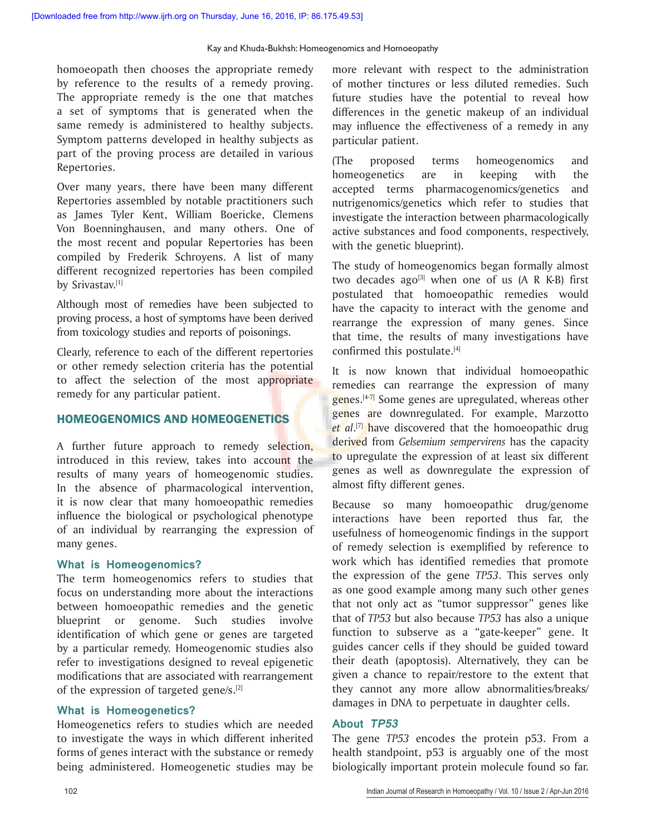homoeopath then chooses the appropriate remedy by reference to the results of a remedy proving. The appropriate remedy is the one that matches a set of symptoms that is generated when the same remedy is administered to healthy subjects. Symptom patterns developed in healthy subjects as part of the proving process are detailed in various Repertories.

Over many years, there have been many different Repertories assembled by notable practitioners such as James Tyler Kent, William Boericke, Clemens Von Boenninghausen, and many others. One of the most recent and popular Repertories has been compiled by Frederik Schroyens. A list of many different recognized repertories has been compiled by Srivastav.[1]

Although most of remedies have been subjected to proving process, a host of symptoms have been derived from toxicology studies and reports of poisonings.

Clearly, reference to each of the different repertories or other remedy selection criteria has the potential to affect the selection of the most appropriate remedy for any particular patient.

# HOMEOGENOMICS AND HOMEOGENETICS

A further future approach to remedy selection, introduced in this review, takes into account the results of many years of homeogenomic studies. In the absence of pharmacological intervention, it is now clear that many homoeopathic remedies influence the biological or psychological phenotype of an individual by rearranging the expression of many genes.

#### **What is Homeogenomics?**

The term homeogenomics refers to studies that focus on understanding more about the interactions between homoeopathic remedies and the genetic blueprint or genome. Such studies involve identification of which gene or genes are targeted by a particular remedy. Homeogenomic studies also refer to investigations designed to reveal epigenetic modifications that are associated with rearrangement of the expression of targeted gene/s.[2]

#### **What is Homeogenetics?**

Homeogenetics refers to studies which are needed to investigate the ways in which different inherited forms of genes interact with the substance or remedy being administered. Homeogenetic studies may be

more relevant with respect to the administration of mother tinctures or less diluted remedies. Such future studies have the potential to reveal how differences in the genetic makeup of an individual may influence the effectiveness of a remedy in any particular patient.

(The proposed terms homeogenomics and homeogenetics are in keeping with the accepted terms pharmacogenomics/genetics and nutrigenomics/genetics which refer to studies that investigate the interaction between pharmacologically active substances and food components, respectively, with the genetic blueprint).

The study of homeogenomics began formally almost two decades ago<sup>[3]</sup> when one of us  $(A \ R \ K-B)$  first postulated that homoeopathic remedies would have the capacity to interact with the genome and rearrange the expression of many genes. Since that time, the results of many investigations have confirmed this postulate.<sup>[4]</sup>

It is now known that individual homoeopathic remedies can rearrange the expression of many  $g$ enes.<sup>[4-7]</sup> Some genes are upregulated, whereas other genes are downregulated. For example, Marzotto *et al*. [7] have discovered that the homoeopathic drug derived from *Gelsemium sempervirens* has the capacity to upregulate the expression of at least six different genes as well as downregulate the expression of almost fifty different genes.

Because so many homoeopathic drug/genome interactions have been reported thus far, the usefulness of homeogenomic findings in the support of remedy selection is exemplified by reference to work which has identified remedies that promote the expression of the gene *TP53*. This serves only as one good example among many such other genes that not only act as "tumor suppressor" genes like that of *TP53* but also because *TP53* has also a unique function to subserve as a "gate-keeper" gene. It guides cancer cells if they should be guided toward their death (apoptosis). Alternatively, they can be given a chance to repair/restore to the extent that they cannot any more allow abnormalities/breaks/ damages in DNA to perpetuate in daughter cells.

#### **About TP53**

The gene *TP53* encodes the protein p53. From a health standpoint, p53 is arguably one of the most biologically important protein molecule found so far.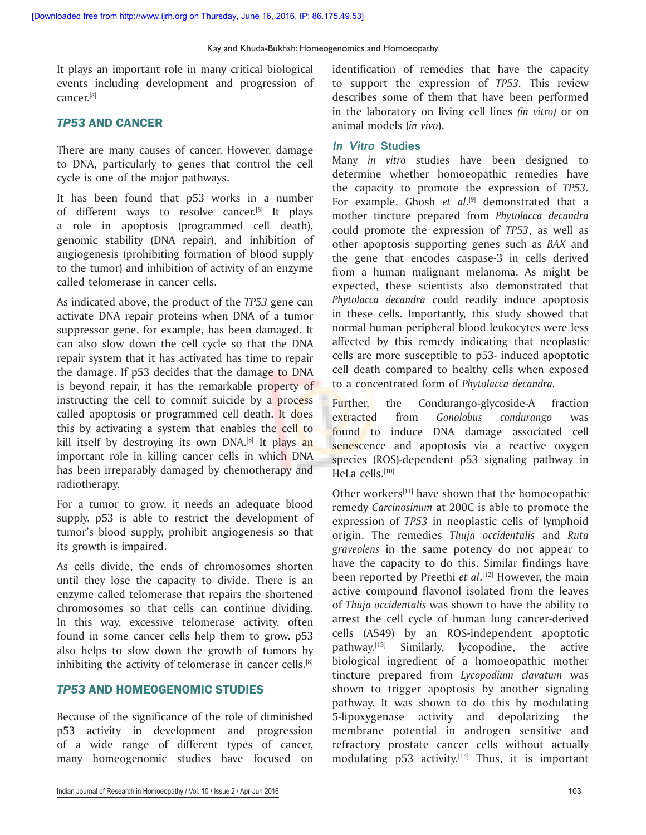It plays an important role in many critical biological events including development and progression of cancer.[8]

# *TP53* AND CANCER

There are many causes of cancer. However, damage to DNA, particularly to genes that control the cell cycle is one of the major pathways.

It has been found that p53 works in a number of different ways to resolve cancer.[8] It plays a role in apoptosis (programmed cell death), genomic stability (DNA repair), and inhibition of angiogenesis (prohibiting formation of blood supply to the tumor) and inhibition of activity of an enzyme called telomerase in cancer cells.

As indicated above, the product of the *TP53* gene can activate DNA repair proteins when DNA of a tumor suppressor gene, for example, has been damaged. It can also slow down the cell cycle so that the DNA repair system that it has activated has time to repair the damage. If p53 decides that the damage to DNA is beyond repair, it has the remarkable property of instructing the cell to commit suicide by a process called apoptosis or programmed cell death. It does this by activating a system that enables the cell to kill itself by destroving its own  $DNA^{[8]}$  It plays an important role in killing cancer cells in which DNA has been irreparably damaged by chemotherapy and radiotherapy.

For a tumor to grow, it needs an adequate blood supply. p53 is able to restrict the development of tumor's blood supply, prohibit angiogenesis so that its growth is impaired.

As cells divide, the ends of chromosomes shorten until they lose the capacity to divide. There is an enzyme called telomerase that repairs the shortened chromosomes so that cells can continue dividing. In this way, excessive telomerase activity, often found in some cancer cells help them to grow. p53 also helps to slow down the growth of tumors by inhibiting the activity of telomerase in cancer cells.<sup>[8]</sup>

# *TP53* AND HOMEOGENOMIC STUDIES

Because of the significance of the role of diminished p53 activity in development and progression of a wide range of different types of cancer, many homeogenomic studies have focused on identification of remedies that have the capacity to support the expression of *TP53.* This review describes some of them that have been performed in the laboratory on living cell lines *(in vitro)* or on animal models (*in vivo*).

#### **In Vitro Studies**

Many *in vitro* studies have been designed to determine whether homoeopathic remedies have the capacity to promote the expression of *TP53.* For example, Ghosh *et al*. [9] demonstrated that a mother tincture prepared from *Phytolacca decandra* could promote the expression of *TP53*, as well as other apoptosis supporting genes such as *BAX* and the gene that encodes caspase-3 in cells derived from a human malignant melanoma. As might be expected, these scientists also demonstrated that *Phytolacca decandra* could readily induce apoptosis in these cells. Importantly, this study showed that normal human peripheral blood leukocytes were less affected by this remedy indicating that neoplastic cells are more susceptible to p53- induced apoptotic cell death compared to healthy cells when exposed to a concentrated form of *Phytolacca decandra.*

Further, the Condurango-glycoside-A fraction extracted from *Gonolobus condurango* was found to induce DNA damage associated cell senescence and apoptosis via a reactive oxygen species (ROS)-dependent p53 signaling pathway in HeLa cells.[10]

Other workers<sup>[11]</sup> have shown that the homoeopathic remedy *Carcinosinum* at 200C is able to promote the expression of *TP53* in neoplastic cells of lymphoid origin. The remedies *Thuja occidentalis* and *Ruta graveolens* in the same potency do not appear to have the capacity to do this. Similar findings have been reported by Preethi *et al*. [12] However, the main active compound flavonol isolated from the leaves of *Thuja occidentalis* was shown to have the ability to arrest the cell cycle of human lung cancer-derived cells (A549) by an ROS-independent apoptotic pathway.[13] Similarly, lycopodine, the active biological ingredient of a homoeopathic mother tincture prepared from *Lycopodium clavatum* was shown to trigger apoptosis by another signaling pathway. It was shown to do this by modulating 5-lipoxygenase activity and depolarizing the membrane potential in androgen sensitive and refractory prostate cancer cells without actually modulating  $p53$  activity.<sup>[14]</sup> Thus, it is important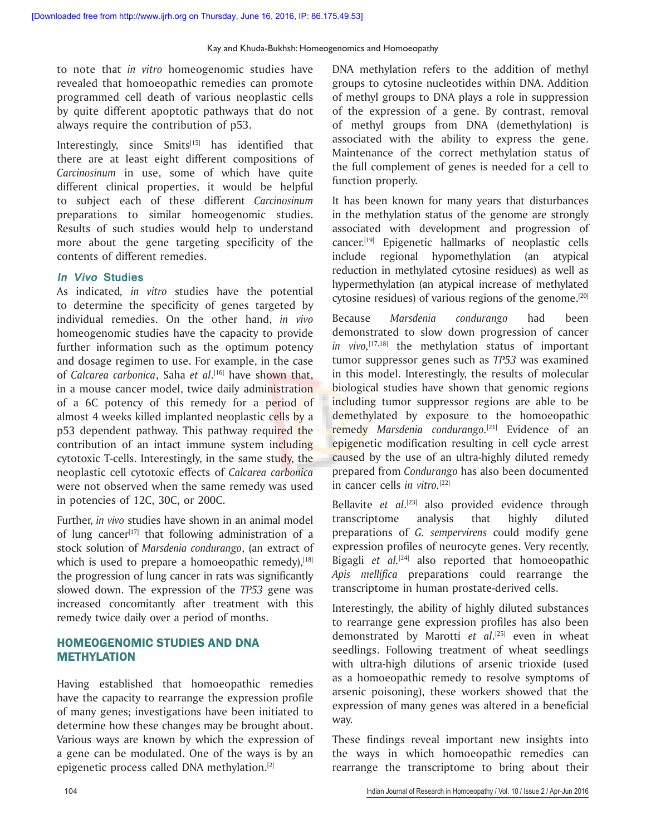to note that *in vitro* homeogenomic studies have revealed that homoeopathic remedies can promote programmed cell death of various neoplastic cells by quite different apoptotic pathways that do not always require the contribution of p53.

Interestingly, since  $Smits^{15}$  has identified that there are at least eight different compositions of *Carcinosinum* in use, some of which have quite different clinical properties, it would be helpful to subject each of these different *Carcinosinum* preparations to similar homeogenomic studies. Results of such studies would help to understand more about the gene targeting specificity of the contents of different remedies.

#### **In Vivo Studies**

As indicated*, in vitro* studies have the potential to determine the specificity of genes targeted by individual remedies. On the other hand, *in vivo*  homeogenomic studies have the capacity to provide further information such as the optimum potency and dosage regimen to use. For example, in the case of *Calcarea carbonica*, Saha *et al*. [16] have shown that, in a mouse cancer model, twice daily administration of a 6C potency of this remedy for a period of almost 4 weeks killed implanted neoplastic cells by a p53 dependent pathway. This pathway required the contribution of an intact immune system including cytotoxic T-cells. Interestingly, in the same study, the neoplastic cell cytotoxic effects of *Calcarea carbonica* were not observed when the same remedy was used in potencies of 12C, 30C, or 200C.

Further, *in vivo* studies have shown in an animal model of lung cancer<sup>[17]</sup> that following administration of a stock solution of *Marsdenia condurango*, (an extract of which is used to prepare a homoeopathic remedy), $[18]$ the progression of lung cancer in rats was significantly slowed down. The expression of the *TP53* gene was increased concomitantly after treatment with this remedy twice daily over a period of months.

## HOMEOGENOMIC STUDIES AND DNA METHYLATION

Having established that homoeopathic remedies have the capacity to rearrange the expression profile of many genes; investigations have been initiated to determine how these changes may be brought about. Various ways are known by which the expression of a gene can be modulated. One of the ways is by an epigenetic process called DNA methylation.[2]

DNA methylation refers to the addition of methyl groups to cytosine nucleotides within DNA. Addition of methyl groups to DNA plays a role in suppression of the expression of a gene. By contrast, removal of methyl groups from DNA (demethylation) is associated with the ability to express the gene. Maintenance of the correct methylation status of the full complement of genes is needed for a cell to function properly.

It has been known for many years that disturbances in the methylation status of the genome are strongly associated with development and progression of cancer.[19] Epigenetic hallmarks of neoplastic cells include regional hypomethylation (an atypical reduction in methylated cytosine residues) as well as hypermethylation (an atypical increase of methylated cytosine residues) of various regions of the genome.[20]

Because *Marsdenia condurango* had been demonstrated to slow down progression of cancer *in vivo,*[17,18] the methylation status of important tumor suppressor genes such as *TP53* was examined in this model. Interestingly, the results of molecular biological studies have shown that genomic regions including tumor suppressor regions are able to be demethylated by exposure to the homoeopathic remedy *Marsdenia condurango.*[21] Evidence of an epigenetic modification resulting in cell cycle arrest caused by the use of an ultra-highly diluted remedy prepared from *Condurango* has also been documented in cancer cells *in vitro.*[22]

Bellavite *et al*. [23] also provided evidence through transcriptome analysis that highly diluted preparations of *G. sempervirens* could modify gene expression profiles of neurocyte genes. Very recently, Bigagli *et al.*[24] also reported that homoeopathic *Apis mellifica* preparations could rearrange the transcriptome in human prostate-derived cells.

Interestingly, the ability of highly diluted substances to rearrange gene expression profiles has also been demonstrated by Marotti *et al*. [25] even in wheat seedlings. Following treatment of wheat seedlings with ultra-high dilutions of arsenic trioxide (used as a homoeopathic remedy to resolve symptoms of arsenic poisoning), these workers showed that the expression of many genes was altered in a beneficial way.

These findings reveal important new insights into the ways in which homoeopathic remedies can rearrange the transcriptome to bring about their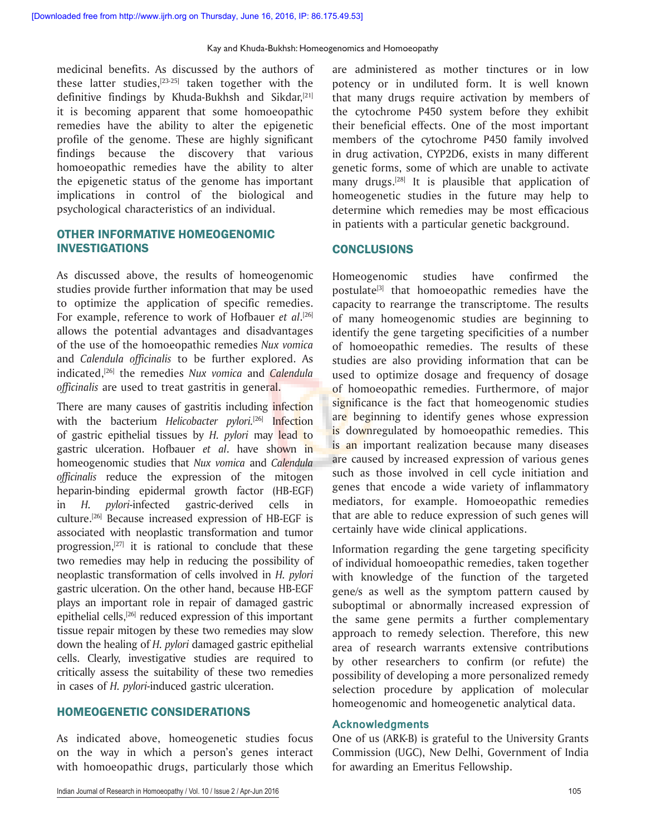medicinal benefits. As discussed by the authors of these latter studies, $[23-25]$  taken together with the definitive findings by Khuda-Bukhsh and Sikdar, $[21]$ it is becoming apparent that some homoeopathic remedies have the ability to alter the epigenetic profile of the genome. These are highly significant findings because the discovery that various homoeopathic remedies have the ability to alter the epigenetic status of the genome has important implications in control of the biological and psychological characteristics of an individual.

# OTHER INFORMATIVE HOMEOGENOMIC INVESTIGATIONS

As discussed above, the results of homeogenomic studies provide further information that may be used to optimize the application of specific remedies. For example, reference to work of Hofbauer *et al*. [26] allows the potential advantages and disadvantages of the use of the homoeopathic remedies *Nux vomica*  and *Calendula officinalis* to be further explored. As indicated,[26] the remedies *Nux vomica* and *Calendula officinalis* are used to treat gastritis in general.

There are many causes of gastritis including infection with the bacterium *Helicobacter pylori.*[26] Infection of gastric epithelial tissues by *H. pylori* may lead to gastric ulceration. Hofbauer *et al*. have shown in homeogenomic studies that *Nux vomica* and *Calendula officinalis* reduce the expression of the mitogen heparin-binding epidermal growth factor (HB-EGF) in *H. pylori*-infected gastric-derived cells in culture.[26] Because increased expression of HB-EGF is associated with neoplastic transformation and tumor progression, $[27]$  it is rational to conclude that these two remedies may help in reducing the possibility of neoplastic transformation of cells involved in *H. pylori* gastric ulceration. On the other hand, because HB-EGF plays an important role in repair of damaged gastric epithelial cells,<sup>[26]</sup> reduced expression of this important tissue repair mitogen by these two remedies may slow down the healing of *H. pylori* damaged gastric epithelial cells. Clearly, investigative studies are required to critically assess the suitability of these two remedies in cases of *H. pylori*-induced gastric ulceration.

#### HOMEOGENETIC CONSIDERATIONS

As indicated above, homeogenetic studies focus on the way in which a person's genes interact with homoeopathic drugs, particularly those which

are administered as mother tinctures or in low potency or in undiluted form. It is well known that many drugs require activation by members of the cytochrome P450 system before they exhibit their beneficial effects. One of the most important members of the cytochrome P450 family involved in drug activation, CYP2D6, exists in many different genetic forms, some of which are unable to activate many drugs.<sup>[28]</sup> It is plausible that application of homeogenetic studies in the future may help to determine which remedies may be most efficacious in patients with a particular genetic background.

#### **CONCLUSIONS**

Homeogenomic studies have confirmed the postulate<sup>[3]</sup> that homoeopathic remedies have the capacity to rearrange the transcriptome. The results of many homeogenomic studies are beginning to identify the gene targeting specificities of a number of homoeopathic remedies. The results of these studies are also providing information that can be used to optimize dosage and frequency of dosage of homoeopathic remedies. Furthermore, of major significance is the fact that homeogenomic studies are beginning to identify genes whose expression is downregulated by homoeopathic remedies. This is an important realization because many diseases are caused by increased expression of various genes such as those involved in cell cycle initiation and genes that encode a wide variety of inflammatory mediators, for example. Homoeopathic remedies that are able to reduce expression of such genes will certainly have wide clinical applications.

Information regarding the gene targeting specificity of individual homoeopathic remedies, taken together with knowledge of the function of the targeted gene/s as well as the symptom pattern caused by suboptimal or abnormally increased expression of the same gene permits a further complementary approach to remedy selection. Therefore, this new area of research warrants extensive contributions by other researchers to confirm (or refute) the possibility of developing a more personalized remedy selection procedure by application of molecular homeogenomic and homeogenetic analytical data.

#### **Acknowledgments**

One of us (ARK-B) is grateful to the University Grants Commission (UGC), New Delhi, Government of India for awarding an Emeritus Fellowship.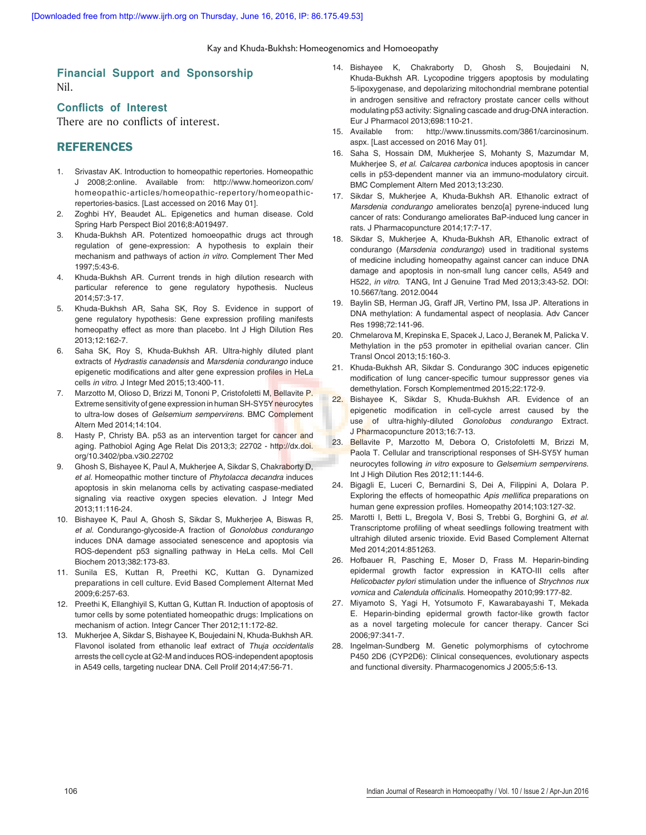#### **Financial Support and Sponsorship** Nil.

#### **Conflicts of Interest**

There are no conflicts of interest.

#### **REFERENCES**

- 1. Srivastav AK. Introduction to homeopathic repertories. Homeopathic J 2008;2:online. Available from: http://www.homeorizon.com/ homeopathic-articles/homeopathic-repertory/homeopathicrepertories-basics. [Last accessed on 2016 May 01].
- 2. Zoghbi HY, Beaudet AL. Epigenetics and human disease. Cold Spring Harb Perspect Biol 2016;8:A019497.
- 3. Khuda‑Bukhsh AR. Potentized homoeopathic drugs act through regulation of gene‑expression: A hypothesis to explain their mechanism and pathways of action *in vitro*. Complement Ther Med 1997;5:43‑6.
- 4. Khuda-Bukhsh AR. Current trends in high dilution research with particular reference to gene regulatory hypothesis. Nucleus 2014;57:3‑17.
- 5. Khuda‑Bukhsh AR, Saha SK, Roy S. Evidence in support of gene regulatory hypothesis: Gene expression profiling manifests homeopathy effect as more than placebo. Int J High Dilution Res 2013;12:162‑7.
- 6. Saha SK, Roy S, Khuda‑Bukhsh AR. Ultra‑highly diluted plant extracts of *Hydrastis canadensis* and *Marsdenia condurango* induce epigenetic modifications and alter gene expression profiles in HeLa cells *in vitro*. J Integr Med 2015;13:400‑11.
- 7. Marzotto M, Olioso D, Brizzi M, Tononi P, Cristofoletti M, Bellavite P. Extreme sensitivity of gene expression in human SH-SY5Y neurocytes to ultra‑low doses of *Gelsemium sempervirens*. BMC Complement Altern Med 2014;14:104.
- 8. Hasty P, Christy BA. p53 as an intervention target for cancer and aging. Pathobiol Aging Age Relat Dis 2013;3; 22702 ‑ http://dx.doi. org/10.3402/pba.v3i0.22702
- 9. Ghosh S, Bishayee K, Paul A, Mukherjee A, Sikdar S, Chakraborty D, *et al.* Homeopathic mother tincture of *Phytolacca decandra* induces apoptosis in skin melanoma cells by activating caspase‑mediated signaling via reactive oxygen species elevation. J Integr Med 2013;11:116‑24.
- 10. Bishayee K, Paul A, Ghosh S, Sikdar S, Mukherjee A, Biswas R, *et al.* Condurango‑glycoside‑A fraction of *Gonolobus condurango* induces DNA damage associated senescence and apoptosis via ROS‑dependent p53 signalling pathway in HeLa cells. Mol Cell Biochem 2013;382:173‑83.
- 11. Sunila ES, Kuttan R, Preethi KC, Kuttan G. Dynamized preparations in cell culture. Evid Based Complement Alternat Med 2009;6:257‑63.
- 12. Preethi K, Ellanghiyil S, Kuttan G, Kuttan R. Induction of apoptosis of tumor cells by some potentiated homeopathic drugs: Implications on mechanism of action. Integr Cancer Ther 2012;11:172‑82.
- 13. Mukherjee A, Sikdar S, Bishayee K, Boujedaini N, Khuda‑Bukhsh AR. Flavonol isolated from ethanolic leaf extract of *Thuja occidentalis*  arrests the cell cycle at G2‑M and induces ROS‑independent apoptosis in A549 cells, targeting nuclear DNA. Cell Prolif 2014;47:56‑71.
- 14. Bishayee K, Chakraborty D, Ghosh S, Boujedaini N, Khuda‑Bukhsh AR. Lycopodine triggers apoptosis by modulating 5‑lipoxygenase, and depolarizing mitochondrial membrane potential in androgen sensitive and refractory prostate cancer cells without modulating p53 activity: Signaling cascade and drug‑DNA interaction. Eur J Pharmacol 2013;698:110‑21.
- 15. Available from: http://www.tinussmits.com/3861/carcinosinum. aspx. [Last accessed on 2016 May 01].
- 16. Saha S, Hossain DM, Mukherjee S, Mohanty S, Mazumdar M, Mukherjee S, *et al. Calcarea carbonica* induces apoptosis in cancer cells in p53‑dependent manner via an immuno‑modulatory circuit. BMC Complement Altern Med 2013;13:230.
- 17. Sikdar S, Mukherjee A, Khuda-Bukhsh AR. Ethanolic extract of *Marsdenia condurango* ameliorates benzo[a] pyrene‑induced lung cancer of rats: Condurango ameliorates BaP‑induced lung cancer in rats. J Pharmacopuncture 2014;17:7‑17.
- 18. Sikdar S, Mukherjee A, Khuda‑Bukhsh AR, Ethanolic extract of condurango (*Marsdenia condurango*) used in traditional systems of medicine including homeopathy against cancer can induce DNA damage and apoptosis in non‑small lung cancer cells, A549 and H522, *in vitro*. TANG, Int J Genuine Trad Med 2013;3:43‑52. DOI: 10.5667/tang. 2012.0044
- 19. Baylin SB, Herman JG, Graff JR, Vertino PM, Issa JP. Alterations in DNA methylation: A fundamental aspect of neoplasia. Adv Cancer Res 1998;72:141‑96.
- 20. Chmelarova M, Krepinska E, Spacek J, Laco J, Beranek M, Palicka V. Methylation in the p53 promoter in epithelial ovarian cancer. Clin Transl Oncol 2013;15:160‑3.
- 21. Khuda‑Bukhsh AR, Sikdar S. Condurango 30C induces epigenetic modification of lung cancer‑specific tumour suppressor genes via demethylation. Forsch Komplementmed 2015;22:172‑9.
- 22. Bishayee K, Sikdar S, Khuda-Bukhsh AR. Evidence of an epigenetic modification in cell-cycle arrest caused by the use of ultra-highly-diluted *Gonolobus condurango* Extract. J Pharmacopuncture 2013;16:7‑13.
- 23. Bellavite P, Marzotto M, Debora O, Cristofoletti M, Brizzi M, Paola T. Cellular and transcriptional responses of SH-SY5Y human neurocytes following *in vitro* exposure to *Gelsemium sempervirens*. Int J High Dilution Res 2012;11:144-6.
- 24. Bigagli E, Luceri C, Bernardini S, Dei A, Filippini A, Dolara P. Exploring the effects of homeopathic Apis mellifica preparations on human gene expression profiles. Homeopathy 2014;103:127‑32.
- 25. Marotti I, Betti L, Bregola V, Bosi S, Trebbi G, Borghini G, *et al*. Transcriptome profiling of wheat seedlings following treatment with ultrahigh diluted arsenic trioxide. Evid Based Complement Alternat Med 2014;2014:851263.
- 26. Hofbauer R, Pasching E, Moser D, Frass M. Heparin-binding epidermal growth factor expression in KATO‑III cells after *Helicobacter pylori* stimulation under the influence of *Strychnos nux vomica* and Calendula officinalis. Homeopathy 2010;99:177‑82.
- 27. Miyamoto S, Yagi H, Yotsumoto F, Kawarabayashi T, Mekada E. Heparin-binding epidermal growth factor-like growth factor as a novel targeting molecule for cancer therapy. Cancer Sci 2006;97:341‑7.
- 28. Ingelman‑Sundberg M. Genetic polymorphisms of cytochrome P450 2D6 (CYP2D6): Clinical consequences, evolutionary aspects and functional diversity. Pharmacogenomics J 2005;5:6‑13.